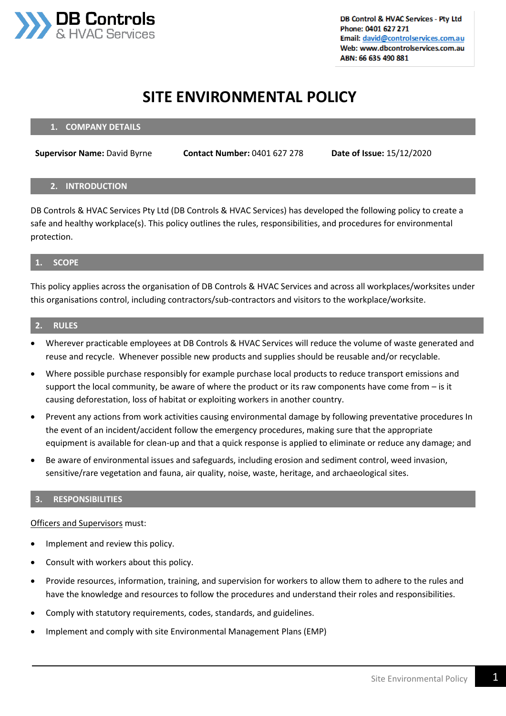

# **SITE ENVIRONMENTAL POLICY**

#### **1. COMPANY DETAILS**

**Supervisor Name:** David Byrne **Contact Number:** 0401 627 278 **Date of Issue:** 15/12/2020

#### **2. INTRODUCTION**

DB Controls & HVAC Services Pty Ltd (DB Controls & HVAC Services) has developed the following policy to create a safe and healthy workplace(s). This policy outlines the rules, responsibilities, and procedures for environmental protection.

#### **1. SCOPE**

This policy applies across the organisation of DB Controls & HVAC Services and across all workplaces/worksites under this organisations control, including contractors/sub-contractors and visitors to the workplace/worksite.

#### **2. RULES**

- Wherever practicable employees at DB Controls & HVAC Services will reduce the volume of waste generated and reuse and recycle. Whenever possible new products and supplies should be reusable and/or recyclable.
- Where possible purchase responsibly for example purchase local products to reduce transport emissions and support the local community, be aware of where the product or its raw components have come from – is it causing deforestation, loss of habitat or exploiting workers in another country.
- Prevent any actions from work activities causing environmental damage by following preventative procedures In the event of an incident/accident follow the emergency procedures, making sure that the appropriate equipment is available for clean-up and that a quick response is applied to eliminate or reduce any damage; and
- Be aware of environmental issues and safeguards, including erosion and sediment control, weed invasion, sensitive/rare vegetation and fauna, air quality, noise, waste, heritage, and archaeological sites.

#### **3. RESPONSIBILITIES**

Officers and Supervisors must:

- Implement and review this policy.
- Consult with workers about this policy.
- Provide resources, information, training, and supervision for workers to allow them to adhere to the rules and have the knowledge and resources to follow the procedures and understand their roles and responsibilities.
- Comply with statutory requirements, codes, standards, and guidelines.
- Implement and comply with site Environmental Management Plans (EMP)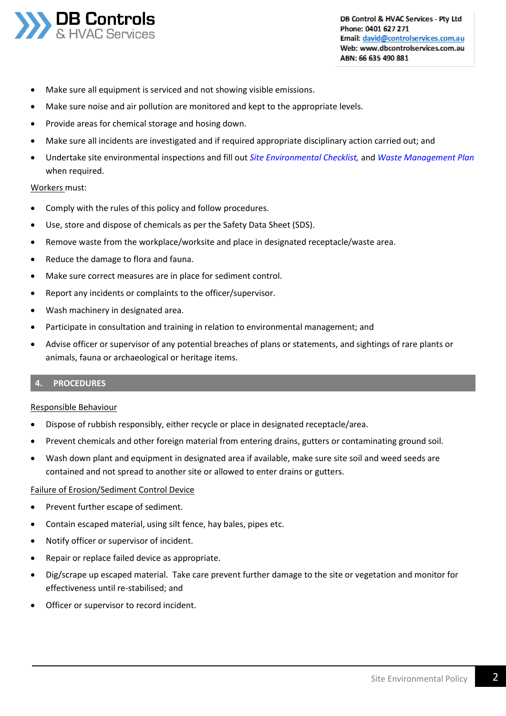

- Make sure all equipment is serviced and not showing visible emissions.
- Make sure noise and air pollution are monitored and kept to the appropriate levels.
- Provide areas for chemical storage and hosing down.
- Make sure all incidents are investigated and if required appropriate disciplinary action carried out; and
- Undertake site environmental inspections and fill out *Site Environmental Checklist,* and *Waste Management Plan*  when required.

#### Workers must:

- Comply with the rules of this policy and follow procedures.
- Use, store and dispose of chemicals as per the Safety Data Sheet (SDS).
- Remove waste from the workplace/worksite and place in designated receptacle/waste area.
- Reduce the damage to flora and fauna.
- Make sure correct measures are in place for sediment control.
- Report any incidents or complaints to the officer/supervisor.
- Wash machinery in designated area.
- Participate in consultation and training in relation to environmental management; and
- Advise officer or supervisor of any potential breaches of plans or statements, and sightings of rare plants or animals, fauna or archaeological or heritage items.

## **4. PROCEDURES**

### Responsible Behaviour

- Dispose of rubbish responsibly, either recycle or place in designated receptacle/area.
- Prevent chemicals and other foreign material from entering drains, gutters or contaminating ground soil.
- Wash down plant and equipment in designated area if available, make sure site soil and weed seeds are contained and not spread to another site or allowed to enter drains or gutters.

### Failure of Erosion/Sediment Control Device

- Prevent further escape of sediment.
- Contain escaped material, using silt fence, hay bales, pipes etc.
- Notify officer or supervisor of incident.
- Repair or replace failed device as appropriate.
- Dig/scrape up escaped material. Take care prevent further damage to the site or vegetation and monitor for effectiveness until re-stabilised; and
- Officer or supervisor to record incident.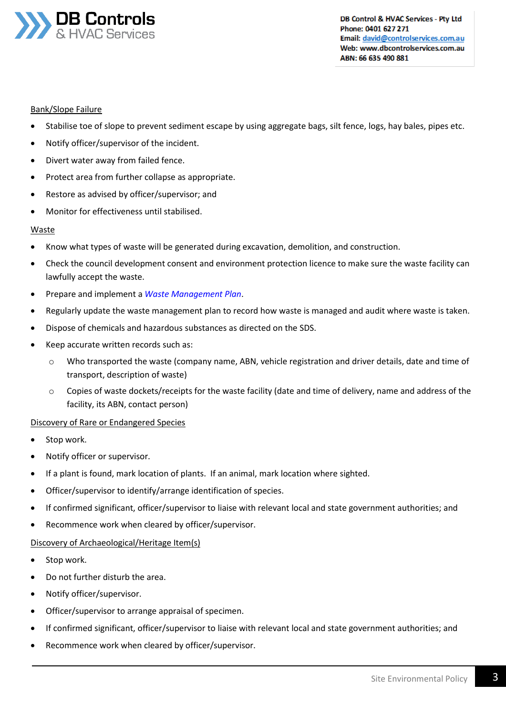

DB Control & HVAC Services - Pty Ltd Phone: 0401 627 271 Email: david@controlservices.com.au Web: www.dbcontrolservices.com.au ABN: 66 635 490 881

## Bank/Slope Failure

- Stabilise toe of slope to prevent sediment escape by using aggregate bags, silt fence, logs, hay bales, pipes etc.
- Notify officer/supervisor of the incident.
- Divert water away from failed fence.
- Protect area from further collapse as appropriate.
- Restore as advised by officer/supervisor; and
- Monitor for effectiveness until stabilised.

## Waste

- Know what types of waste will be generated during excavation, demolition, and construction.
- Check the council development consent and environment protection licence to make sure the waste facility can lawfully accept the waste.
- Prepare and implement a *Waste Management Plan*.
- Regularly update the waste management plan to record how waste is managed and audit where waste is taken.
- Dispose of chemicals and hazardous substances as directed on the SDS.
- Keep accurate written records such as:
	- o Who transported the waste (company name, ABN, vehicle registration and driver details, date and time of transport, description of waste)
	- o Copies of waste dockets/receipts for the waste facility (date and time of delivery, name and address of the facility, its ABN, contact person)

## Discovery of Rare or Endangered Species

- Stop work.
- Notify officer or supervisor.
- If a plant is found, mark location of plants. If an animal, mark location where sighted.
- Officer/supervisor to identify/arrange identification of species.
- If confirmed significant, officer/supervisor to liaise with relevant local and state government authorities; and
- Recommence work when cleared by officer/supervisor.

### Discovery of Archaeological/Heritage Item(s)

- Stop work.
- Do not further disturb the area.
- Notify officer/supervisor.
- Officer/supervisor to arrange appraisal of specimen.
- If confirmed significant, officer/supervisor to liaise with relevant local and state government authorities; and
- Recommence work when cleared by officer/supervisor.